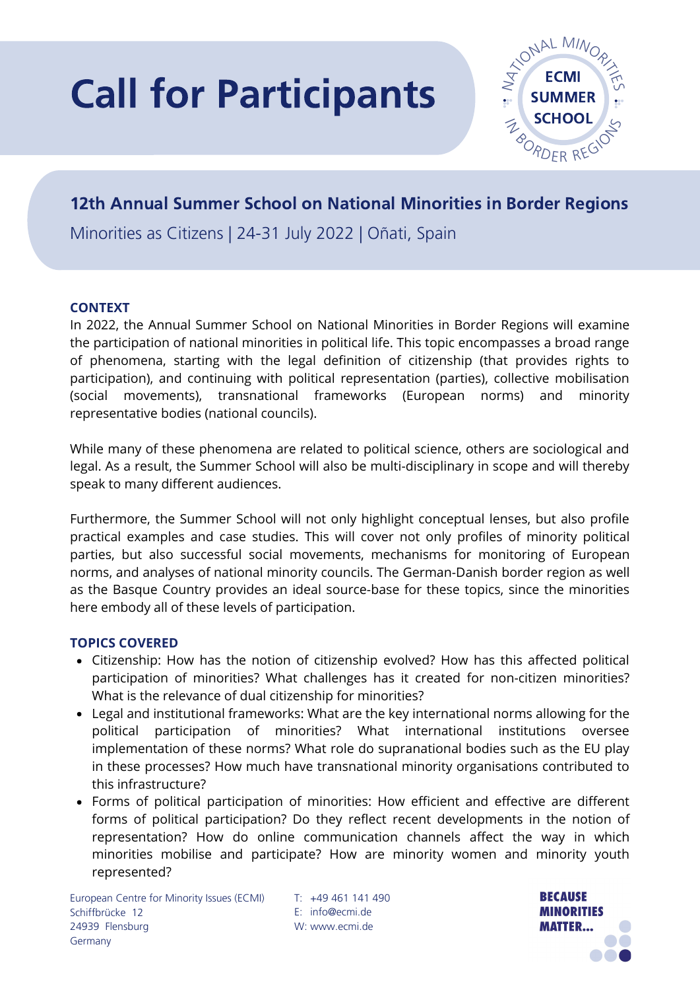# Call for Participants



## 12th Annual Summer School on National Minorities in Border Regions

Minorities as Citizens | 24-31 July 2022 | Oñati, Spain

#### **CONTEXT**

In 2022, the Annual Summer School on National Minorities in Border Regions will examine the participation of national minorities in political life. This topic encompasses a broad range of phenomena, starting with the legal definition of citizenship (that provides rights to participation), and continuing with political representation (parties), collective mobilisation (social movements), transnational frameworks (European norms) and minority representative bodies (national councils).

While many of these phenomena are related to political science, others are sociological and legal. As a result, the Summer School will also be multi-disciplinary in scope and will thereby speak to many different audiences.

Furthermore, the Summer School will not only highlight conceptual lenses, but also profile practical examples and case studies. This will cover not only profiles of minority political parties, but also successful social movements, mechanisms for monitoring of European norms, and analyses of national minority councils. The German-Danish border region as well as the Basque Country provides an ideal source-base for these topics, since the minorities here embody all of these levels of participation.

#### **TOPICS COVERED**

- Citizenship: How has the notion of citizenship evolved? How has this affected political participation of minorities? What challenges has it created for non-citizen minorities? What is the relevance of dual citizenship for minorities?
- Legal and institutional frameworks: What are the key international norms allowing for the political participation of minorities? What international institutions oversee implementation of these norms? What role do supranational bodies such as the EU play in these processes? How much have transnational minority organisations contributed to this infrastructure?
- Forms of political participation of minorities: How efficient and effective are different forms of political participation? Do they reflect recent developments in the notion of representation? How do online communication channels affect the way in which minorities mobilise and participate? How are minority women and minority youth represented?

+49 461 141 490 T: E: info@ecmi.de W: www.ecmi.de